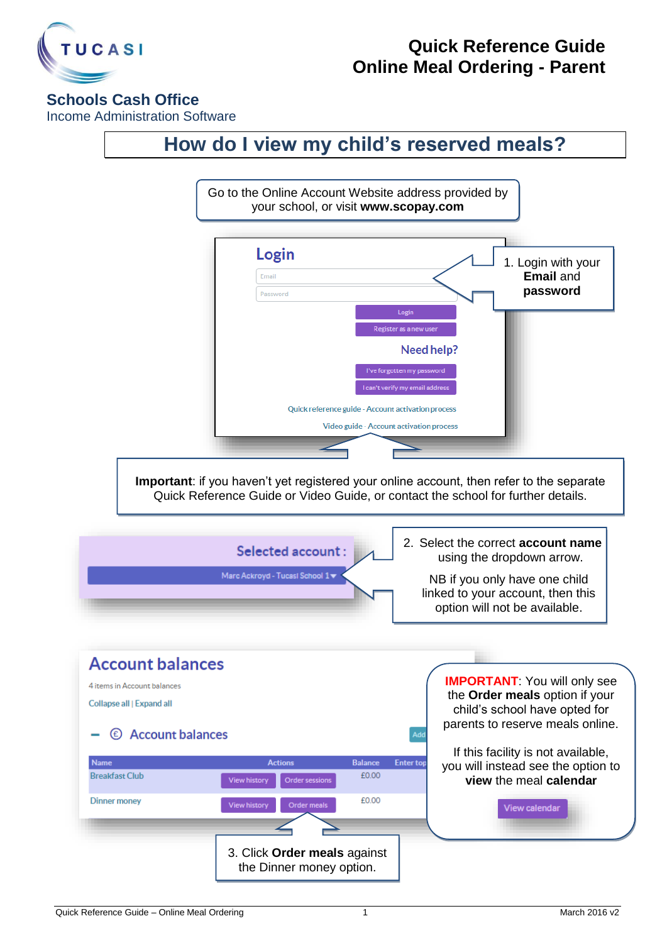

## **Quick Reference Guide Online Meal Ordering - Parent**

## **Schools Cash Office**

Income Administration Software

## **How do I view my child's reserved meals?**

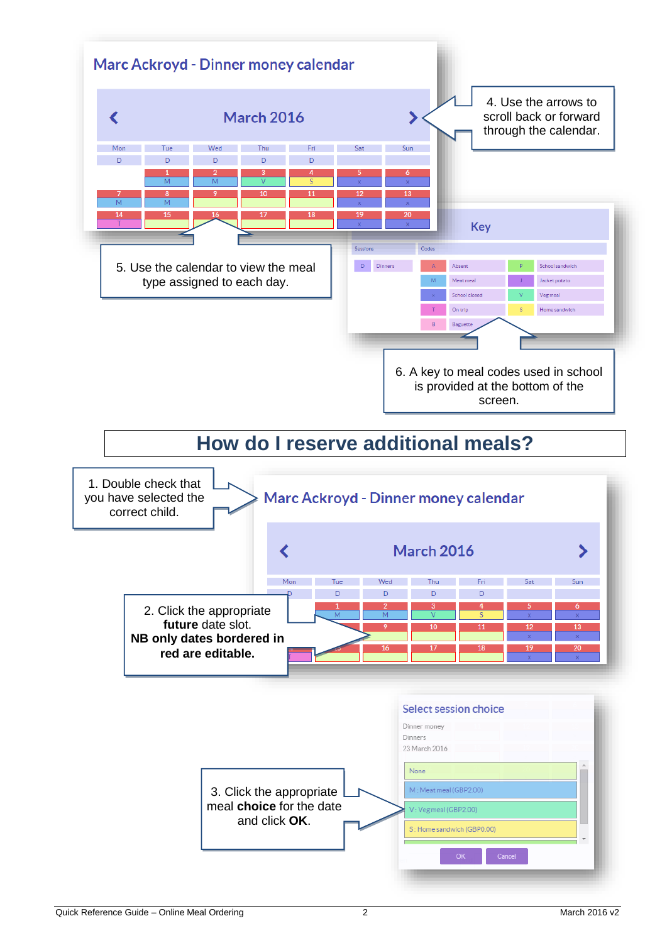